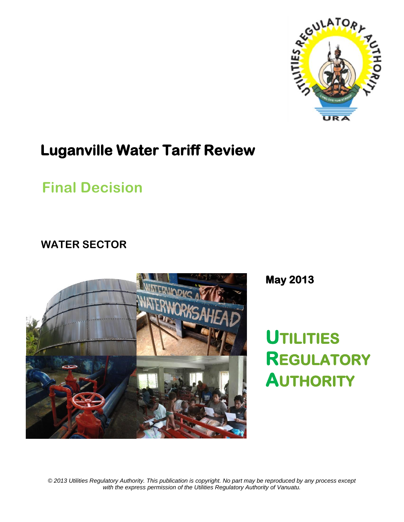

# **Luganville Water Tariff Review**

# **Final Decision**

# **WATER SECTOR**



**May 2013** 

**UTILITIES REGULATORY AUTHORITY** 

*© 2013 Utilities Regulatory Authority. This publication is copyright. No part may be reproduced by any process except with the express permission of the Utilities Regulatory Authority of Vanuatu.*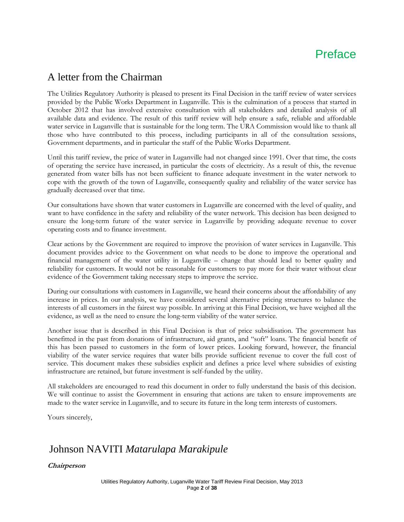## Preface

## A letter from the Chairman

The Utilities Regulatory Authority is pleased to present its Final Decision in the tariff review of water services provided by the Public Works Department in Luganville. This is the culmination of a process that started in October 2012 that has involved extensive consultation with all stakeholders and detailed analysis of all available data and evidence. The result of this tariff review will help ensure a safe, reliable and affordable water service in Luganville that is sustainable for the long term. The URA Commission would like to thank all those who have contributed to this process, including participants in all of the consultation sessions, Government departments, and in particular the staff of the Public Works Department.

Until this tariff review, the price of water in Luganville had not changed since 1991. Over that time, the costs of operating the service have increased, in particular the costs of electricity. As a result of this, the revenue generated from water bills has not been sufficient to finance adequate investment in the water network to cope with the growth of the town of Luganville, consequently quality and reliability of the water service has gradually decreased over that time.

Our consultations have shown that water customers in Luganville are concerned with the level of quality, and want to have confidence in the safety and reliability of the water network. This decision has been designed to ensure the long-term future of the water service in Luganville by providing adequate revenue to cover operating costs and to finance investment.

Clear actions by the Government are required to improve the provision of water services in Luganville. This document provides advice to the Government on what needs to be done to improve the operational and financial management of the water utility in Luganville – change that should lead to better quality and reliability for customers. It would not be reasonable for customers to pay more for their water without clear evidence of the Government taking necessary steps to improve the service.

During our consultations with customers in Luganville, we heard their concerns about the affordability of any increase in prices. In our analysis, we have considered several alternative pricing structures to balance the interests of all customers in the fairest way possible. In arriving at this Final Decision, we have weighed all the evidence, as well as the need to ensure the long-term viability of the water service.

Another issue that is described in this Final Decision is that of price subsidisation. The government has benefitted in the past from donations of infrastructure, aid grants, and "soft" loans. The financial benefit of this has been passed to customers in the form of lower prices. Looking forward, however, the financial viability of the water service requires that water bills provide sufficient revenue to cover the full cost of service. This document makes these subsidies explicit and defines a price level where subsidies of existing infrastructure are retained, but future investment is self-funded by the utility.

All stakeholders are encouraged to read this document in order to fully understand the basis of this decision. We will continue to assist the Government in ensuring that actions are taken to ensure improvements are made to the water service in Luganville, and to secure its future in the long term interests of customers.

Yours sincerely,

## Johnson NAVITI *Matarulapa Marakipule*

**Chairperson**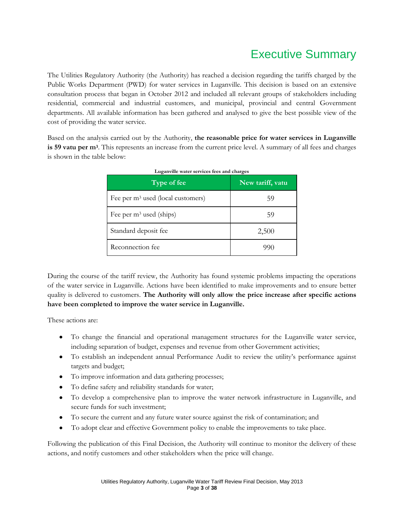# Executive Summary

The Utilities Regulatory Authority (the Authority) has reached a decision regarding the tariffs charged by the Public Works Department (PWD) for water services in Luganville. This decision is based on an extensive consultation process that began in October 2012 and included all relevant groups of stakeholders including residential, commercial and industrial customers, and municipal, provincial and central Government departments. All available information has been gathered and analysed to give the best possible view of the cost of providing the water service.

Based on the analysis carried out by the Authority, **the reasonable price for water services in Luganville is 59 vatu per m<sup>3</sup>** . This represents an increase from the current price level. A summary of all fees and charges is shown in the table below:

| $Type$ of fee                                 | New tariff, vatu |
|-----------------------------------------------|------------------|
| Fee per m <sup>3</sup> used (local customers) | 59               |
| Fee per $m^3$ used (ships)                    | 59               |
| Standard deposit fee                          | 2,500            |
| Reconnection fee                              | 991              |

#### **Luganville water services fees and charges**

During the course of the tariff review, the Authority has found systemic problems impacting the operations of the water service in Luganville. Actions have been identified to make improvements and to ensure better quality is delivered to customers. **The Authority will only allow the price increase after specific actions have been completed to improve the water service in Luganville.**

These actions are:

- To change the financial and operational management structures for the Luganville water service, including separation of budget, expenses and revenue from other Government activities;
- To establish an independent annual Performance Audit to review the utility's performance against targets and budget;
- To improve information and data gathering processes;
- $\bullet$ To define safety and reliability standards for water;
- To develop a comprehensive plan to improve the water network infrastructure in Luganville, and  $\bullet$ secure funds for such investment;
- To secure the current and any future water source against the risk of contamination; and
- To adopt clear and effective Government policy to enable the improvements to take place.

Following the publication of this Final Decision, the Authority will continue to monitor the delivery of these actions, and notify customers and other stakeholders when the price will change.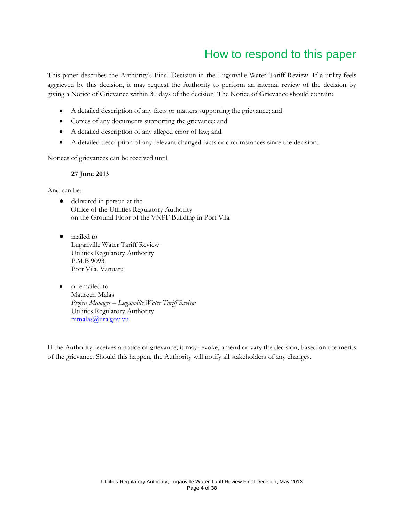# How to respond to this paper

This paper describes the Authority's Final Decision in the Luganville Water Tariff Review. If a utility feels aggrieved by this decision, it may request the Authority to perform an internal review of the decision by giving a Notice of Grievance within 30 days of the decision. The Notice of Grievance should contain:

- $\bullet$ A detailed description of any facts or matters supporting the grievance; and
- Copies of any documents supporting the grievance; and
- A detailed description of any alleged error of law; and  $\bullet$
- A detailed description of any relevant changed facts or circumstances since the decision.  $\bullet$

Notices of grievances can be received until

#### **27 June 2013**

And can be:

- delivered in person at the Office of the Utilities Regulatory Authority on the Ground Floor of the VNPF Building in Port Vila
- mailed to Luganville Water Tariff Review Utilities Regulatory Authority P.M.B 9093 Port Vila, Vanuatu
- or emailed to  $\bullet$ Maureen Malas *Project Manager – Luganville Water Tariff Review* Utilities Regulatory Authority [mmalas@ura.gov.vu](mailto:mmalas@ura.gov.vu)

If the Authority receives a notice of grievance, it may revoke, amend or vary the decision, based on the merits of the grievance. Should this happen, the Authority will notify all stakeholders of any changes.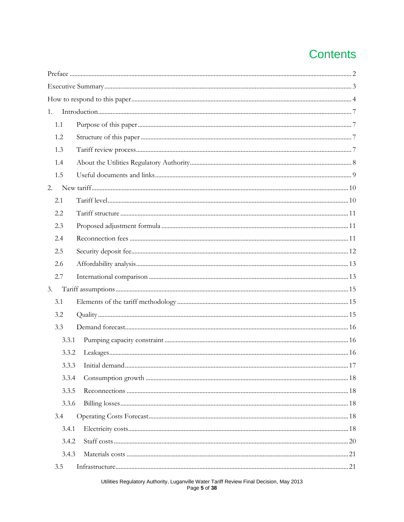# **Contents**

| 1. |       |  |
|----|-------|--|
|    | 1.1   |  |
|    | 1.2   |  |
|    | 1.3   |  |
|    | 1.4   |  |
|    | 1.5   |  |
|    | 2.    |  |
|    | 2.1   |  |
|    | 2.2   |  |
|    | 2.3   |  |
|    | 2.4   |  |
|    | 2.5   |  |
|    | 2.6   |  |
|    | 2.7   |  |
| 3. |       |  |
|    | 3.1   |  |
|    | 3.2   |  |
|    | 3.3   |  |
|    | 3.3.1 |  |
|    | 3.3.2 |  |
|    |       |  |
|    | 3.3.4 |  |
|    | 3.3.5 |  |
|    | 3.3.6 |  |
|    | 3.4   |  |
|    | 3.4.1 |  |
|    | 3.4.2 |  |
|    | 3.4.3 |  |
|    | 3.5   |  |
|    |       |  |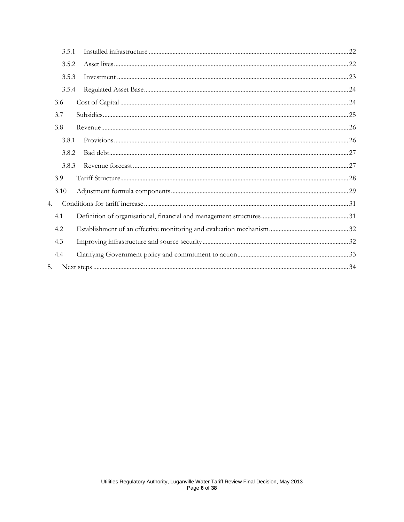| 3.5.1 |  |
|-------|--|
| 3.5.2 |  |
| 3.5.3 |  |
| 3.5.4 |  |
| 3.6   |  |
| 3.7   |  |
| 3.8   |  |
| 3.8.1 |  |
| 3.8.2 |  |
| 3.8.3 |  |
| 3.9   |  |
| 3.10  |  |
| 4.    |  |
| 4.1   |  |
| 4.2   |  |
| 4.3   |  |
| 4.4   |  |
| 5.    |  |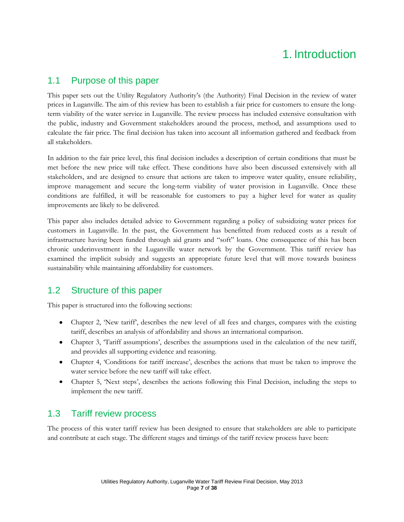# 1. Introduction

## 1.1 Purpose of this paper

This paper sets out the Utility Regulatory Authority's (the Authority) Final Decision in the review of water prices in Luganville. The aim of this review has been to establish a fair price for customers to ensure the longterm viability of the water service in Luganville. The review process has included extensive consultation with the public, industry and Government stakeholders around the process, method, and assumptions used to calculate the fair price. The final decision has taken into account all information gathered and feedback from all stakeholders.

In addition to the fair price level, this final decision includes a description of certain conditions that must be met before the new price will take effect. These conditions have also been discussed extensively with all stakeholders, and are designed to ensure that actions are taken to improve water quality, ensure reliability, improve management and secure the long-term viability of water provision in Luganville. Once these conditions are fulfilled, it will be reasonable for customers to pay a higher level for water as quality improvements are likely to be delivered.

This paper also includes detailed advice to Government regarding a policy of subsidizing water prices for customers in Luganville. In the past, the Government has benefitted from reduced costs as a result of infrastructure having been funded through aid grants and "soft" loans. One consequence of this has been chronic underinvestment in the Luganville water network by the Government. This tariff review has examined the implicit subsidy and suggests an appropriate future level that will move towards business sustainability while maintaining affordability for customers.

## 1.2 Structure of this paper

This paper is structured into the following sections:

- Chapter 2, 'New tariff', describes the new level of all fees and charges, compares with the existing tariff, describes an analysis of affordability and shows an international comparison.
- Chapter 3, 'Tariff assumptions', describes the assumptions used in the calculation of the new tariff, and provides all supporting evidence and reasoning.
- Chapter 4, 'Conditions for tariff increase', describes the actions that must be taken to improve the water service before the new tariff will take effect.
- Chapter 5, 'Next steps', describes the actions following this Final Decision, including the steps to implement the new tariff.

## 1.3 Tariff review process

The process of this water tariff review has been designed to ensure that stakeholders are able to participate and contribute at each stage. The different stages and timings of the tariff review process have been: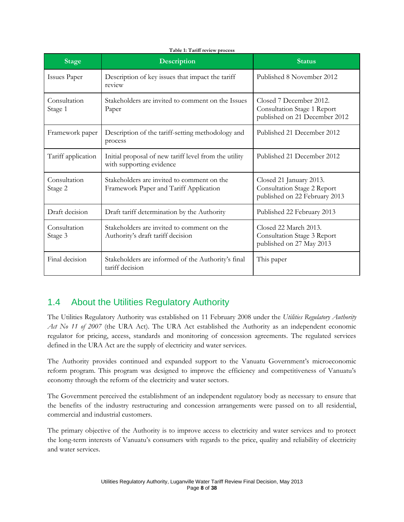| <b>Stage</b>            | Description                                                                          | <b>Status</b>                                                                           |
|-------------------------|--------------------------------------------------------------------------------------|-----------------------------------------------------------------------------------------|
| <b>Issues Paper</b>     | Description of key issues that impact the tariff<br>review                           | Published 8 November 2012                                                               |
| Consultation<br>Stage 1 | Stakeholders are invited to comment on the Issues<br>Paper                           | Closed 7 December 2012.<br>Consultation Stage 1 Report<br>published on 21 December 2012 |
| Framework paper         | Description of the tariff-setting methodology and<br>process                         | Published 21 December 2012                                                              |
| Tariff application      | Initial proposal of new tariff level from the utility<br>with supporting evidence    | Published 21 December 2012                                                              |
| Consultation<br>Stage 2 | Stakeholders are invited to comment on the<br>Framework Paper and Tariff Application | Closed 21 January 2013.<br>Consultation Stage 2 Report<br>published on 22 February 2013 |
| Draft decision          | Draft tariff determination by the Authority                                          | Published 22 February 2013                                                              |
| Consultation<br>Stage 3 | Stakeholders are invited to comment on the<br>Authority's draft tariff decision      | Closed 22 March 2013.<br>Consultation Stage 3 Report<br>published on 27 May 2013        |
| Final decision          | Stakeholders are informed of the Authority's final<br>tariff decision                | This paper                                                                              |

#### **Table 1: Tariff review process**

## 1.4 About the Utilities Regulatory Authority

The Utilities Regulatory Authority was established on 11 February 2008 under the *Utilities Regulatory Authority*  Act No 11 of 2007 (the URA Act). The URA Act established the Authority as an independent economic regulator for pricing, access, standards and monitoring of concession agreements. The regulated services defined in the URA Act are the supply of electricity and water services.

The Authority provides continued and expanded support to the Vanuatu Government's microeconomic reform program. This program was designed to improve the efficiency and competitiveness of Vanuatu's economy through the reform of the electricity and water sectors.

The Government perceived the establishment of an independent regulatory body as necessary to ensure that the benefits of the industry restructuring and concession arrangements were passed on to all residential, commercial and industrial customers.

The primary objective of the Authority is to improve access to electricity and water services and to protect the long-term interests of Vanuatu's consumers with regards to the price, quality and reliability of electricity and water services.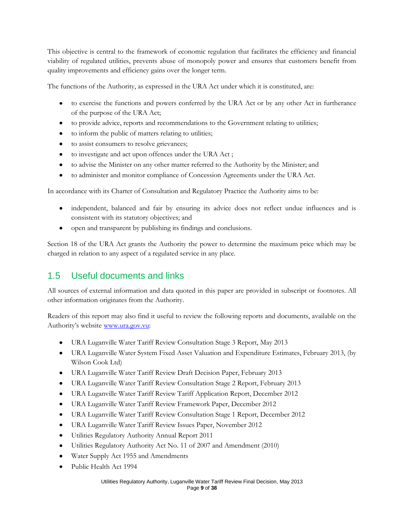This objective is central to the framework of economic regulation that facilitates the efficiency and financial viability of regulated utilities, prevents abuse of monopoly power and ensures that customers benefit from quality improvements and efficiency gains over the longer term.

The functions of the Authority, as expressed in the URA Act under which it is constituted, are:

- to exercise the functions and powers conferred by the URA Act or by any other Act in furtherance of the purpose of the URA Act;
- to provide advice, reports and recommendations to the Government relating to utilities;  $\bullet$
- $\bullet$ to inform the public of matters relating to utilities;
- to assist consumers to resolve grievances;  $\bullet$
- to investigate and act upon offences under the URA Act ;
- to advise the Minister on any other matter referred to the Authority by the Minister; and  $\bullet$
- to administer and monitor compliance of Concession Agreements under the URA Act.  $\bullet$

In accordance with its Charter of Consultation and Regulatory Practice the Authority aims to be:

- independent, balanced and fair by ensuring its advice does not reflect undue influences and is  $\bullet$ consistent with its statutory objectives; and
- open and transparent by publishing its findings and conclusions.  $\bullet$

Section 18 of the URA Act grants the Authority the power to determine the maximum price which may be charged in relation to any aspect of a regulated service in any place.

## 1.5 Useful documents and links

All sources of external information and data quoted in this paper are provided in subscript or footnotes. All other information originates from the Authority.

Readers of this report may also find it useful to review the following reports and documents, available on the Authority's website [www.ura.gov.vu:](http://www.ura.gov.vu/)

- URA Luganville Water Tariff Review Consultation Stage 3 Report, May 2013
- URA Luganville Water System Fixed Asset Valuation and Expenditure Estimates, February 2013, (by Wilson Cook Ltd)
- URA Luganville Water Tariff Review Draft Decision Paper, February 2013
- URA Luganville Water Tariff Review Consultation Stage 2 Report, February 2013
- URA Luganville Water Tariff Review Tariff Application Report, December 2012  $\bullet$
- URA Luganville Water Tariff Review Framework Paper, December 2012
- $\bullet$ URA Luganville Water Tariff Review Consultation Stage 1 Report, December 2012
- URA Luganville Water Tariff Review Issues Paper, November 2012
- $\bullet$ Utilities Regulatory Authority Annual Report 2011
- Utilities Regulatory Authority Act No. 11 of 2007 and Amendment (2010)
- Water Supply Act 1955 and Amendments  $\bullet$
- Public Health Act 1994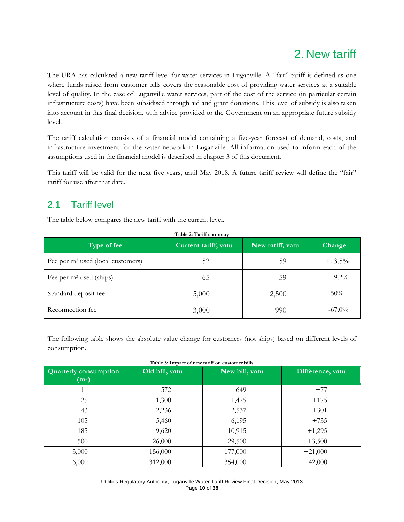# 2. New tariff

The URA has calculated a new tariff level for water services in Luganville. A "fair" tariff is defined as one where funds raised from customer bills covers the reasonable cost of providing water services at a suitable level of quality. In the case of Luganville water services, part of the cost of the service (in particular certain infrastructure costs) have been subsidised through aid and grant donations. This level of subsidy is also taken into account in this final decision, with advice provided to the Government on an appropriate future subsidy level.

The tariff calculation consists of a financial model containing a five-year forecast of demand, costs, and infrastructure investment for the water network in Luganville. All information used to inform each of the assumptions used in the financial model is described in chapter 3 of this document.

This tariff will be valid for the next five years, until May 2018. A future tariff review will define the "fair" tariff for use after that date.

## 2.1 Tariff level

The table below compares the new tariff with the current level.

| Table 2: Tariff summary             |                      |                  |           |  |
|-------------------------------------|----------------------|------------------|-----------|--|
| Type of fee                         | Current tariff, vatu | New tariff, vatu | Change    |  |
| Fee per $m3$ used (local customers) | 52                   | 59               | $+13.5\%$ |  |
| Fee per $m^3$ used (ships)          | 65                   | 59               | $-9.2\%$  |  |
| Standard deposit fee                | 5,000                | 2,500            | $-50\%$   |  |
| Reconnection fee                    | 3,000                | 990              | $-67.0\%$ |  |

The following table shows the absolute value change for customers (not ships) based on different levels of consumption.

| Quarterly consumption<br>(m <sup>3</sup> ) | Old bill, vatu | New bill, vatu | Difference, vatu |
|--------------------------------------------|----------------|----------------|------------------|
| 11                                         | 572            | 649            | $+77$            |
| 25                                         | 1,300          | 1,475          | $+175$           |
| 43                                         | 2,236          | 2,537          | $+301$           |
| 105                                        | 5,460          | 6,195          | $+735$           |
| 185                                        | 9,620          | 10,915         | $+1,295$         |
| 500                                        | 26,000         | 29,500         | $+3,500$         |
| 3,000                                      | 156,000        | 177,000        | $+21,000$        |
| 6,000                                      | 312,000        | 354,000        | $+42,000$        |

Utilities Regulatory Authority, Luganville Water Tariff Review Final Decision, May 2013 Page **10** of **38**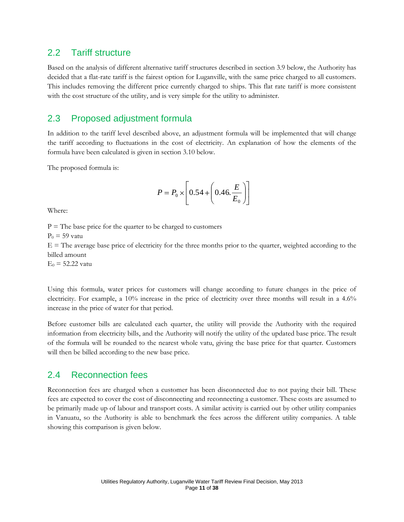### 2.2 Tariff structure

Based on the analysis of different alternative tariff structures described in section 3.9 below, the Authority has decided that a flat-rate tariff is the fairest option for Luganville, with the same price charged to all customers. This includes removing the different price currently charged to ships. This flat rate tariff is more consistent with the cost structure of the utility, and is very simple for the utility to administer.

### 2.3 Proposed adjustment formula

In addition to the tariff level described above, an adjustment formula will be implemented that will change the tariff according to fluctuations in the cost of electricity. An explanation of how the elements of the formula have been calculated is given in section 3.10 below.

The proposed formula is:

$$
P = P_0 \times \left[ 0.54 + \left( 0.46 \cdot \frac{E}{E_0} \right) \right]
$$

Where:

 $P =$  The base price for the quarter to be charged to customers  $P_0 = 59$  vatu  $E =$  The average base price of electricity for the three months prior to the quarter, weighted according to the billed amount  $E_0 = 52.22$  vatu

Using this formula, water prices for customers will change according to future changes in the price of electricity. For example, a 10% increase in the price of electricity over three months will result in a 4.6% increase in the price of water for that period.

Before customer bills are calculated each quarter, the utility will provide the Authority with the required information from electricity bills, and the Authority will notify the utility of the updated base price. The result of the formula will be rounded to the nearest whole vatu, giving the base price for that quarter. Customers will then be billed according to the new base price.

### 2.4 Reconnection fees

Reconnection fees are charged when a customer has been disconnected due to not paying their bill. These fees are expected to cover the cost of disconnecting and reconnecting a customer. These costs are assumed to be primarily made up of labour and transport costs. A similar activity is carried out by other utility companies in Vanuatu, so the Authority is able to benchmark the fees across the different utility companies. A table showing this comparison is given below.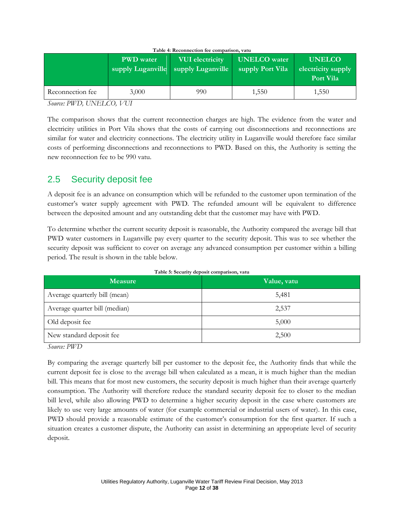|                  | <b>PWD</b> water | <b>VUI</b> electricity<br>supply Luganville Supply Luganville | <b>UNELCO</b> water<br>supply Port Vila | <b>UNELCO</b><br>electricity supply<br>Port Vila |
|------------------|------------------|---------------------------------------------------------------|-----------------------------------------|--------------------------------------------------|
| Reconnection fee | 3,000            | 990                                                           | 1.550                                   | 1,550                                            |

| Table 4: Reconnection fee comparison, vatu |  |  |
|--------------------------------------------|--|--|
|--------------------------------------------|--|--|

*Source: PWD, UNELCO, VUI*

The comparison shows that the current reconnection charges are high. The evidence from the water and electricity utilities in Port Vila shows that the costs of carrying out disconnections and reconnections are similar for water and electricity connections. The electricity utility in Luganville would therefore face similar costs of performing disconnections and reconnections to PWD. Based on this, the Authority is setting the new reconnection fee to be 990 vatu.

## 2.5 Security deposit fee

A deposit fee is an advance on consumption which will be refunded to the customer upon termination of the customer's water supply agreement with PWD. The refunded amount will be equivalent to difference between the deposited amount and any outstanding debt that the customer may have with PWD.

To determine whether the current security deposit is reasonable, the Authority compared the average bill that PWD water customers in Luganville pay every quarter to the security deposit. This was to see whether the security deposit was sufficient to cover on average any advanced consumption per customer within a billing period. The result is shown in the table below.

| <b>Measure</b>                | Value, vatu |
|-------------------------------|-------------|
| Average quarterly bill (mean) | 5,481       |
| Average quarter bill (median) | 2,537       |
| Old deposit fee               | 5,000       |
| New standard deposit fee      | 2,500       |

**Table 5: Security deposit comparison, vatu**

*Source: PWD* 

By comparing the average quarterly bill per customer to the deposit fee, the Authority finds that while the current deposit fee is close to the average bill when calculated as a mean, it is much higher than the median bill. This means that for most new customers, the security deposit is much higher than their average quarterly consumption. The Authority will therefore reduce the standard security deposit fee to closer to the median bill level, while also allowing PWD to determine a higher security deposit in the case where customers are likely to use very large amounts of water (for example commercial or industrial users of water). In this case, PWD should provide a reasonable estimate of the customer's consumption for the first quarter. If such a situation creates a customer dispute, the Authority can assist in determining an appropriate level of security deposit.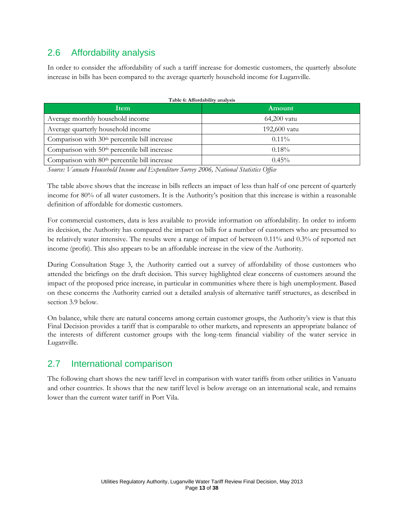## 2.6 Affordability analysis

In order to consider the affordability of such a tariff increase for domestic customers, the quarterly absolute increase in bills has been compared to the average quarterly household income for Luganville.

| <b>Item</b>                                               | Amount       |
|-----------------------------------------------------------|--------------|
| Average monthly household income                          | 64,200 vatu  |
| Average quarterly household income                        | 192,600 vatu |
| Comparison with 30 <sup>th</sup> percentile bill increase | $0.11\%$     |
| Comparison with 50 <sup>th</sup> percentile bill increase | $0.18\%$     |
| Comparison with 80 <sup>th</sup> percentile bill increase | $0.45\%$     |

*Source: Vanuatu Household Income and Expenditure Survey 2006, National Statistics Office*

The table above shows that the increase in bills reflects an impact of less than half of one percent of quarterly income for 80% of all water customers. It is the Authority's position that this increase is within a reasonable definition of affordable for domestic customers.

For commercial customers, data is less available to provide information on affordability. In order to inform its decision, the Authority has compared the impact on bills for a number of customers who are presumed to be relatively water intensive. The results were a range of impact of between 0.11% and 0.3% of reported net income (profit). This also appears to be an affordable increase in the view of the Authority.

During Consultation Stage 3, the Authority carried out a survey of affordability of those customers who attended the briefings on the draft decision. This survey highlighted clear concerns of customers around the impact of the proposed price increase, in particular in communities where there is high unemployment. Based on these concerns the Authority carried out a detailed analysis of alternative tariff structures, as described in section 3.9 below.

On balance, while there are natural concerns among certain customer groups, the Authority's view is that this Final Decision provides a tariff that is comparable to other markets, and represents an appropriate balance of the interests of different customer groups with the long-term financial viability of the water service in Luganville.

## 2.7 International comparison

The following chart shows the new tariff level in comparison with water tariffs from other utilities in Vanuatu and other countries. It shows that the new tariff level is below average on an international scale, and remains lower than the current water tariff in Port Vila.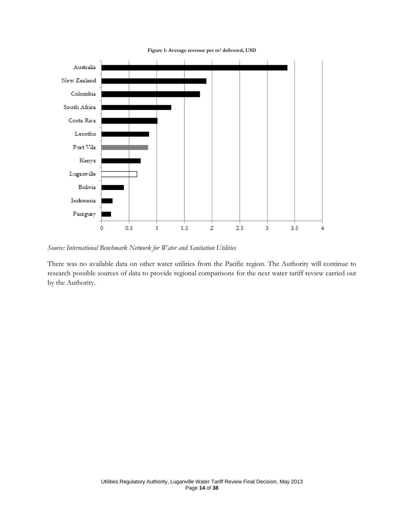



*Source: International Benchmark Network for Water and Sanitation Utilities* 

There was no available data on other water utilities from the Pacific region. The Authority will continue to research possible sources of data to provide regional comparisons for the next water tariff review carried out by the Authority.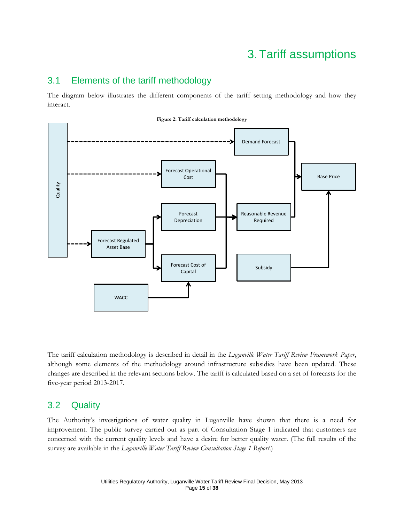# 3. Tariff assumptions

### 3.1 Elements of the tariff methodology

The diagram below illustrates the different components of the tariff setting methodology and how they interact.



The tariff calculation methodology is described in detail in the *Luganville Water Tariff Review Framework Paper*, although some elements of the methodology around infrastructure subsidies have been updated. These changes are described in the relevant sections below. The tariff is calculated based on a set of forecasts for the five-year period 2013-2017.

## 3.2 Quality

The Authority's investigations of water quality in Luganville have shown that there is a need for improvement. The public survey carried out as part of Consultation Stage 1 indicated that customers are concerned with the current quality levels and have a desire for better quality water. (The full results of the survey are available in the *Luganville Water Tariff Review Consultation Stage 1 Report*.)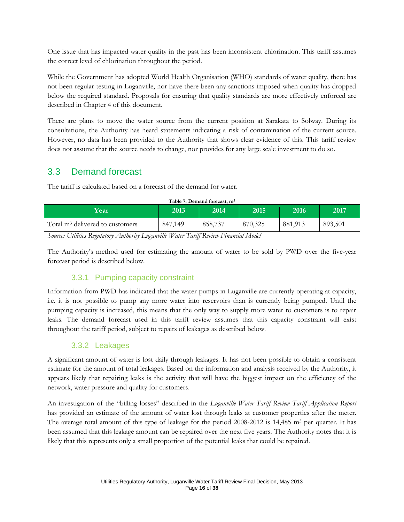One issue that has impacted water quality in the past has been inconsistent chlorination. This tariff assumes the correct level of chlorination throughout the period.

While the Government has adopted World Health Organisation (WHO) standards of water quality, there has not been regular testing in Luganville, nor have there been any sanctions imposed when quality has dropped below the required standard. Proposals for ensuring that quality standards are more effectively enforced are described in Chapter 4 of this document.

There are plans to move the water source from the current position at Sarakata to Solway. During its consultations, the Authority has heard statements indicating a risk of contamination of the current source. However, no data has been provided to the Authority that shows clear evidence of this. This tariff review does not assume that the source needs to change, nor provides for any large scale investment to do so.

## 3.3 Demand forecast

The tariff is calculated based on a forecast of the demand for water.

| Table 7: Demand forecast, m <sup>3</sup>                                                                                                                                                                                                                                                                                                                                                                                                                                                                                                                                                                                                                                                                                                                                                     |         |         |         |         |         |
|----------------------------------------------------------------------------------------------------------------------------------------------------------------------------------------------------------------------------------------------------------------------------------------------------------------------------------------------------------------------------------------------------------------------------------------------------------------------------------------------------------------------------------------------------------------------------------------------------------------------------------------------------------------------------------------------------------------------------------------------------------------------------------------------|---------|---------|---------|---------|---------|
| Year                                                                                                                                                                                                                                                                                                                                                                                                                                                                                                                                                                                                                                                                                                                                                                                         | 2013    | 2014    | 2015    | 2016    | 2017    |
| Total m <sup>3</sup> delivered to customers                                                                                                                                                                                                                                                                                                                                                                                                                                                                                                                                                                                                                                                                                                                                                  | 847,149 | 858,737 | 870,325 | 881,913 | 893,501 |
| $\mathbf{r}$ $\mathbf{r}$ $\mathbf{r}$ $\mathbf{r}$ $\mathbf{r}$ $\mathbf{r}$ $\mathbf{r}$ $\mathbf{r}$ $\mathbf{r}$ $\mathbf{r}$ $\mathbf{r}$ $\mathbf{r}$ $\mathbf{r}$ $\mathbf{r}$ $\mathbf{r}$ $\mathbf{r}$ $\mathbf{r}$ $\mathbf{r}$ $\mathbf{r}$ $\mathbf{r}$ $\mathbf{r}$ $\mathbf{r}$ $\mathbf{r}$ $\mathbf{r}$ $\mathbf{$<br>$\cdot$ $\overline{v}$ $\overline{v}$ $\overline{r}$ $\overline{r}$ $\overline{r}$ $\overline{r}$ $\overline{r}$ $\overline{r}$ $\overline{r}$ $\overline{r}$ $\overline{r}$ $\overline{r}$ $\overline{r}$ $\overline{r}$ $\overline{r}$ $\overline{r}$ $\overline{r}$ $\overline{r}$ $\overline{r}$ $\overline{r}$ $\overline{r}$ $\overline{r}$ $\overline{r}$ $\overline{r}$<br>$\mathbf{r}$<br>$\sqrt{ }$<br>$\cdot$ , $\cdot$ , $\cdot$ , $\cdot$ |         |         |         |         |         |

*Source: Utilities Regulatory Authority Luganville Water Tariff Review Financial Model*

The Authority's method used for estimating the amount of water to be sold by PWD over the five-year forecast period is described below.

### 3.3.1 Pumping capacity constraint

Information from PWD has indicated that the water pumps in Luganville are currently operating at capacity, i.e. it is not possible to pump any more water into reservoirs than is currently being pumped. Until the pumping capacity is increased, this means that the only way to supply more water to customers is to repair leaks. The demand forecast used in this tariff review assumes that this capacity constraint will exist throughout the tariff period, subject to repairs of leakages as described below.

### 3.3.2 Leakages

A significant amount of water is lost daily through leakages. It has not been possible to obtain a consistent estimate for the amount of total leakages. Based on the information and analysis received by the Authority, it appears likely that repairing leaks is the activity that will have the biggest impact on the efficiency of the network, water pressure and quality for customers.

An investigation of the "billing losses" described in the *Luganville Water Tariff Review Tariff Application Report*  has provided an estimate of the amount of water lost through leaks at customer properties after the meter. The average total amount of this type of leakage for the period  $2008-2012$  is 14,485 m<sup>3</sup> per quarter. It has been assumed that this leakage amount can be repaired over the next five years. The Authority notes that it is likely that this represents only a small proportion of the potential leaks that could be repaired.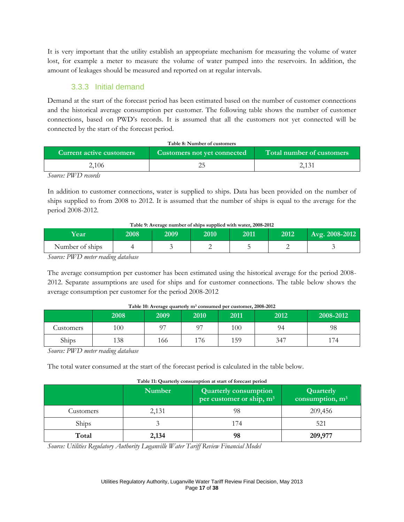It is very important that the utility establish an appropriate mechanism for measuring the volume of water lost, for example a meter to measure the volume of water pumped into the reservoirs. In addition, the amount of leakages should be measured and reported on at regular intervals.

### 3.3.3 Initial demand

Demand at the start of the forecast period has been estimated based on the number of customer connections and the historical average consumption per customer. The following table shows the number of customer connections, based on PWD's records. It is assumed that all the customers not yet connected will be connected by the start of the forecast period.

| Table 8: Number of customers                                                                |  |       |  |  |  |
|---------------------------------------------------------------------------------------------|--|-------|--|--|--|
| Total number of customers<br>Current active customers<br><b>Customers not yet connected</b> |  |       |  |  |  |
| 2.106                                                                                       |  | 2,131 |  |  |  |
| TITITIT                                                                                     |  |       |  |  |  |

*Source: PWD records*

In addition to customer connections, water is supplied to ships. Data has been provided on the number of ships supplied to from 2008 to 2012. It is assumed that the number of ships is equal to the average for the period 2008-2012.

#### **Table 9: Average number of ships supplied with water, 2008-2012**

| <b>Year</b>     | 2008 | 2009 | 2010 | 2011 | 2012 | Avg. 2008-2012 |
|-----------------|------|------|------|------|------|----------------|
| Number of ships |      |      |      |      |      |                |

*Source: PWD meter reading database*

The average consumption per customer has been estimated using the historical average for the period 2008- 2012. Separate assumptions are used for ships and for customer connections. The table below shows the average consumption per customer for the period 2008-2012

|                  | 2008 | 2009 | 2010 | 2011 | 2012 | 2008-2012 |
|------------------|------|------|------|------|------|-----------|
| <b>Lustomers</b> | 100  | ∩¬   | ∩¬   | 100  | 94   | 98        |
| Ships            | 138  | 166  | 176  | 159  | 347  | 174       |

#### **Table 10: Average quarterly m<sup>3</sup> consumed per customer, 2008-2012**

*Source: PWD meter reading database*

The total water consumed at the start of the forecast period is calculated in the table below.

|              | <b>Number</b> | <b>Quarterly consumption</b><br>per customer or ship, m <sup>3</sup> | Quarterly<br>consumption, $m3$ |
|--------------|---------------|----------------------------------------------------------------------|--------------------------------|
| Customers    | 2,131         | 98                                                                   | 209,456                        |
| <b>Ships</b> |               | 174                                                                  | 521                            |
| Total        | 2,134         | 98                                                                   | 209,977                        |

**Table 11: Quarterly consumption at start of forecast period**

*Source: Utilities Regulatory Authority Luganville Water Tariff Review Financial Model*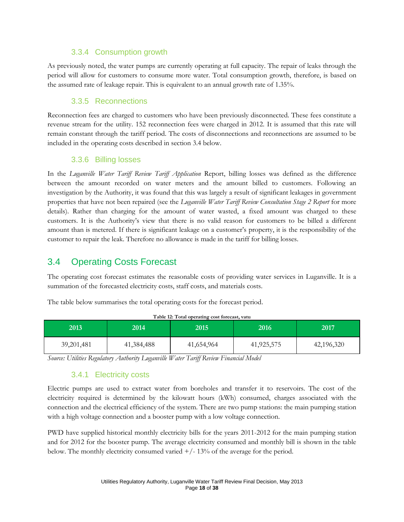#### 3.3.4 Consumption growth

As previously noted, the water pumps are currently operating at full capacity. The repair of leaks through the period will allow for customers to consume more water. Total consumption growth, therefore, is based on the assumed rate of leakage repair. This is equivalent to an annual growth rate of 1.35%.

### 3.3.5 Reconnections

Reconnection fees are charged to customers who have been previously disconnected. These fees constitute a revenue stream for the utility. 152 reconnection fees were charged in 2012. It is assumed that this rate will remain constant through the tariff period. The costs of disconnections and reconnections are assumed to be included in the operating costs described in section 3.4 below.

#### 3.3.6 Billing losses

In the *Luganville Water Tariff Review Tariff Application* Report, billing losses was defined as the difference between the amount recorded on water meters and the amount billed to customers. Following an investigation by the Authority, it was found that this was largely a result of significant leakages in government properties that have not been repaired (see the *Luganville Water Tariff Review Consultation Stage 2 Report* for more details). Rather than charging for the amount of water wasted, a fixed amount was charged to these customers. It is the Authority's view that there is no valid reason for customers to be billed a different amount than is metered. If there is significant leakage on a customer's property, it is the responsibility of the customer to repair the leak. Therefore no allowance is made in the tariff for billing losses.

## 3.4 Operating Costs Forecast

The operating cost forecast estimates the reasonable costs of providing water services in Luganville. It is a summation of the forecasted electricity costs, staff costs, and materials costs.

The table below summarises the total operating costs for the forecast period.

| 2013         | 2014'      | 2015       | 2016'      | 2017       |
|--------------|------------|------------|------------|------------|
| 39, 201, 481 | 41,384,488 | 41,654,964 | 41,925,575 | 42,196,320 |

**Table 12: Total operating cost forecast, vatu**

*Source: Utilities Regulatory Authority Luganville Water Tariff Review Financial Model*

### 3.4.1 Electricity costs

Electric pumps are used to extract water from boreholes and transfer it to reservoirs. The cost of the electricity required is determined by the kilowatt hours (kWh) consumed, charges associated with the connection and the electrical efficiency of the system. There are two pump stations: the main pumping station with a high voltage connection and a booster pump with a low voltage connection.

PWD have supplied historical monthly electricity bills for the years 2011-2012 for the main pumping station and for 2012 for the booster pump. The average electricity consumed and monthly bill is shown in the table below. The monthly electricity consumed varied  $+/-13%$  of the average for the period.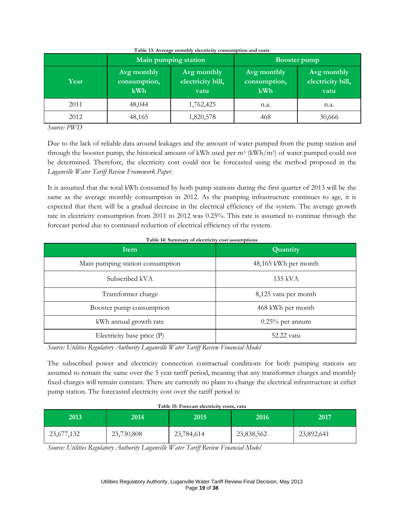|      |                                    | Main pumping station                     | <b>Booster pump</b>                |                                          |  |
|------|------------------------------------|------------------------------------------|------------------------------------|------------------------------------------|--|
| Year | Avg monthly<br>consumption,<br>kWh | Avg monthly<br>electricity bill,<br>vatu | Avg monthly<br>consumption,<br>kWh | Avg monthly<br>electricity bill,<br>vatu |  |
| 2011 | 48,044                             | 1,762,425                                | n.a.                               | n.a.                                     |  |
| 2012 | 48,165                             | 1,820,578                                | 468                                | 30,666                                   |  |

#### **Table 13: Average monthly electricity consumption and costs**

*Source: PWD*

Due to the lack of reliable data around leakages and the amount of water pumped from the pump station and through the booster pump, the historical amount of kWh used per  $m^3$  (kWh/m<sup>3</sup>) of water pumped could not be determined. Therefore, the electricity cost could not be forecasted using the method proposed in the *Luganville Water Tariff Review Framework Paper*.

It is assumed that the total kWh consumed by both pump stations during the first quarter of 2013 will be the same as the average monthly consumption in 2012. As the pumping infrastructure continues to age, it is expected that there will be a gradual decrease in the electrical efficiency of the system. The average growth rate in electricity consumption from 2011 to 2012 was 0.25%. This rate is assumed to continue through the forecast period due to continued reduction of electrical efficiency of the system.

| Item                             | Quantity             |  |
|----------------------------------|----------------------|--|
| Main pumping station consumption | 48,165 kWh per month |  |
| Subscribed kVA                   | 135 kVA              |  |
| Transformer charge               | 8,125 vatu per month |  |
| Booster pump consumption         | 468 kWh per month    |  |
| kWh annual growth rate           | $0.25\%$ per annum   |  |
| Electricity base price (P)       | 52.22 vatu           |  |

**Table 14: Summary of electricity cost assumptions**

*Source: Utilities Regulatory Authority Luganville Water Tariff Review Financial Model*

The subscribed power and electricity connection contractual conditions for both pumping stations are assumed to remain the same over the 5 year tariff period, meaning that any transformer charges and monthly fixed charges will remain constant. There are currently no plans to change the electrical infrastructure at either pump station. The forecasted electricity cost over the tariff period is:

| 2013       | 2014'      | 2015       | 2016       | 2017       |
|------------|------------|------------|------------|------------|
| 23,677,132 | 23,730,808 | 23,784,614 | 23,838,562 | 23,892,641 |

**Table 15: Forecast electricity costs, vatu**

*Source: Utilities Regulatory Authority Luganville Water Tariff Review Financial Model*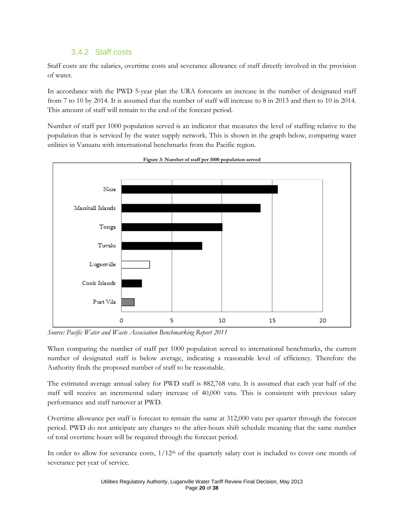### 3.4.2 Staff costs

Staff costs are the salaries, overtime costs and severance allowance of staff directly involved in the provision of water.

In accordance with the PWD 5-year plan the URA forecasts an increase in the number of designated staff from 7 to 10 by 2014. It is assumed that the number of staff will increase to 8 in 2013 and then to 10 in 2014. This amount of staff will remain to the end of the forecast period.

Number of staff per 1000 population served is an indicator that measures the level of staffing relative to the population that is serviced by the water supply network. This is shown in the graph below, comparing water utilities in Vanuatu with international benchmarks from the Pacific region.



**Figure 3: Number of staff per 1000 population served**

*Source: Pacific Water and Waste Association Benchmarking Report 2011*

When comparing the number of staff per 1000 population served to international benchmarks, the current number of designated staff is below average, indicating a reasonable level of efficiency. Therefore the Authority finds the proposed number of staff to be reasonable.

The estimated average annual salary for PWD staff is 882,768 vatu. It is assumed that each year half of the staff will receive an incremental salary increase of 40,000 vatu. This is consistent with previous salary performance and staff turnover at PWD.

Overtime allowance per staff is forecast to remain the same at 312,000 vatu per quarter through the forecast period. PWD do not anticipate any changes to the after-hours shift schedule meaning that the same number of total overtime hours will be required through the forecast period.

In order to allow for severance costs,  $1/12<sup>th</sup>$  of the quarterly salary cost is included to cover one month of severance per year of service.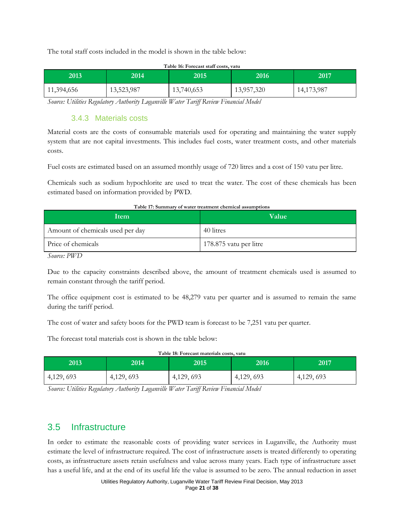The total staff costs included in the model is shown in the table below:

| Table 16: Forecast staff costs, vatu |            |            |            |            |  |
|--------------------------------------|------------|------------|------------|------------|--|
| 2013                                 | 2014       | 2015       | 2016       | 2017       |  |
| 11,394,656                           | 13,523,987 | 13,740,653 | 13,957,320 | 14,173,987 |  |

*Source: Utilities Regulatory Authority Luganville Water Tariff Review Financial Model*

#### 3.4.3 Materials costs

Material costs are the costs of consumable materials used for operating and maintaining the water supply system that are not capital investments. This includes fuel costs, water treatment costs, and other materials costs.

Fuel costs are estimated based on an assumed monthly usage of 720 litres and a cost of 150 vatu per litre.

Chemicals such as sodium hypochlorite are used to treat the water. The cost of these chemicals has been estimated based on information provided by PWD.

| Item                             | <b>Value</b>           |
|----------------------------------|------------------------|
| Amount of chemicals used per day | 40 litres              |
| Price of chemicals               | 178.875 vatu per litre |

#### **Table 17: Summary of water treatment chemical assumptions**

*Source: PWD*

Due to the capacity constraints described above, the amount of treatment chemicals used is assumed to remain constant through the tariff period.

The office equipment cost is estimated to be 48,279 vatu per quarter and is assumed to remain the same during the tariff period.

The cost of water and safety boots for the PWD team is forecast to be 7,251 vatu per quarter.

The forecast total materials cost is shown in the table below:

| Table 18: Forecast materials costs, vatu |           |           |           |           |  |
|------------------------------------------|-----------|-----------|-----------|-----------|--|
| 2013'                                    | 2014      | 2015      | 2016      | 2017      |  |
| 4,129,693                                | 4,129,693 | 4,129,693 | 4,129,693 | 4,129,693 |  |

*Source: Utilities Regulatory Authority Luganville Water Tariff Review Financial Model*

## 3.5 Infrastructure

In order to estimate the reasonable costs of providing water services in Luganville, the Authority must estimate the level of infrastructure required. The cost of infrastructure assets is treated differently to operating costs, as infrastructure assets retain usefulness and value across many years. Each type of infrastructure asset has a useful life, and at the end of its useful life the value is assumed to be zero. The annual reduction in asset

> Utilities Regulatory Authority, Luganville Water Tariff Review Final Decision, May 2013 Page **21** of **38**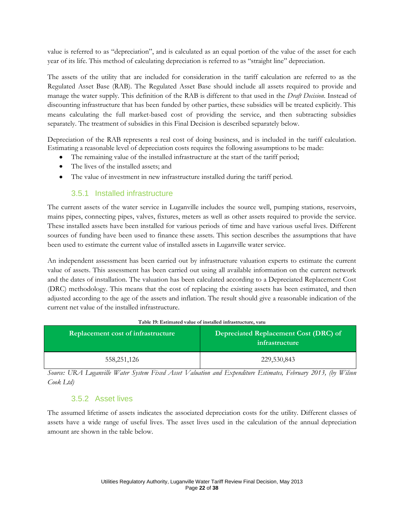value is referred to as "depreciation", and is calculated as an equal portion of the value of the asset for each year of its life. This method of calculating depreciation is referred to as "straight line" depreciation.

The assets of the utility that are included for consideration in the tariff calculation are referred to as the Regulated Asset Base (RAB). The Regulated Asset Base should include all assets required to provide and manage the water supply. This definition of the RAB is different to that used in the *Draft Decision*. Instead of discounting infrastructure that has been funded by other parties, these subsidies will be treated explicitly. This means calculating the full market-based cost of providing the service, and then subtracting subsidies separately. The treatment of subsidies in this Final Decision is described separately below.

Depreciation of the RAB represents a real cost of doing business, and is included in the tariff calculation. Estimating a reasonable level of depreciation costs requires the following assumptions to be made:

- The remaining value of the installed infrastructure at the start of the tariff period;
- The lives of the installed assets; and
- $\bullet$ The value of investment in new infrastructure installed during the tariff period.

#### 3.5.1 Installed infrastructure

The current assets of the water service in Luganville includes the source well, pumping stations, reservoirs, mains pipes, connecting pipes, valves, fixtures, meters as well as other assets required to provide the service. These installed assets have been installed for various periods of time and have various useful lives. Different sources of funding have been used to finance these assets. This section describes the assumptions that have been used to estimate the current value of installed assets in Luganville water service.

An independent assessment has been carried out by infrastructure valuation experts to estimate the current value of assets. This assessment has been carried out using all available information on the current network and the dates of installation. The valuation has been calculated according to a Depreciated Replacement Cost (DRC) methodology. This means that the cost of replacing the existing assets has been estimated, and then adjusted according to the age of the assets and inflation. The result should give a reasonable indication of the current net value of the installed infrastructure.

| Replacement cost of infrastructure | Depreciated Replacement Cost (DRC) of<br>infrastructure |
|------------------------------------|---------------------------------------------------------|
| 558,251,126                        | 229,530,843                                             |

#### **Table 19: Estimated value of installed infrastructure, vatu**

*Source: URA Luganville Water System Fixed Asset Valuation and Expenditure Estimates, February 2013, (by Wilson Cook Ltd)*

#### 3.5.2 Asset lives

The assumed lifetime of assets indicates the associated depreciation costs for the utility. Different classes of assets have a wide range of useful lives. The asset lives used in the calculation of the annual depreciation amount are shown in the table below.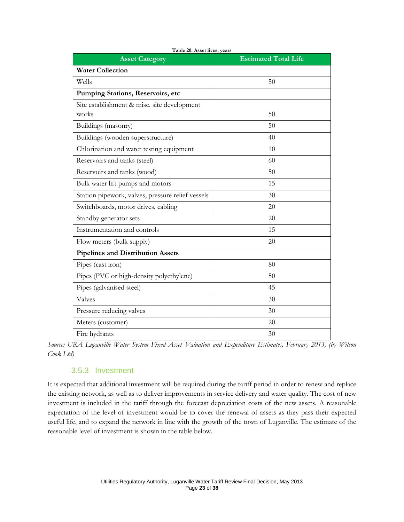| <b>Asset Category</b>                                | <b>Estimated Total Life</b> |
|------------------------------------------------------|-----------------------------|
| <b>Water Collection</b>                              |                             |
| Wells                                                | 50                          |
| Pumping Stations, Reservoirs, etc                    |                             |
| Site establishment & misc. site development<br>works | 50                          |
| Buildings (masonry)                                  | 50                          |
| Buildings (wooden superstructure)                    | 40                          |
| Chlorination and water testing equipment             | 10                          |
| Reservoirs and tanks (steel)                         | 60                          |
| Reservoirs and tanks (wood)                          | 50                          |
| Bulk water lift pumps and motors                     | 15                          |
| Station pipework, valves, pressure relief vessels    | 30                          |
| Switchboards, motor drives, cabling                  | 20                          |
| Standby generator sets                               | 20                          |
| Instrumentation and controls                         | 15                          |
| Flow meters (bulk supply)                            | 20                          |
| <b>Pipelines and Distribution Assets</b>             |                             |
| Pipes (cast iron)                                    | 80                          |
| Pipes (PVC or high-density polyethylene)             | 50                          |
| Pipes (galvanised steel)                             | 45                          |
| Valves                                               | 30                          |
| Pressure reducing valves                             | 30                          |
| Meters (customer)                                    | 20                          |
| Fire hydrants                                        | 30                          |

**Table 20: Asset lives, years**

*Source: URA Luganville Water System Fixed Asset Valuation and Expenditure Estimates, February 2013, (by Wilson Cook Ltd)*

#### 3.5.3 Investment

It is expected that additional investment will be required during the tariff period in order to renew and replace the existing network, as well as to deliver improvements in service delivery and water quality. The cost of new investment is included in the tariff through the forecast depreciation costs of the new assets. A reasonable expectation of the level of investment would be to cover the renewal of assets as they pass their expected useful life, and to expand the network in line with the growth of the town of Luganville. The estimate of the reasonable level of investment is shown in the table below.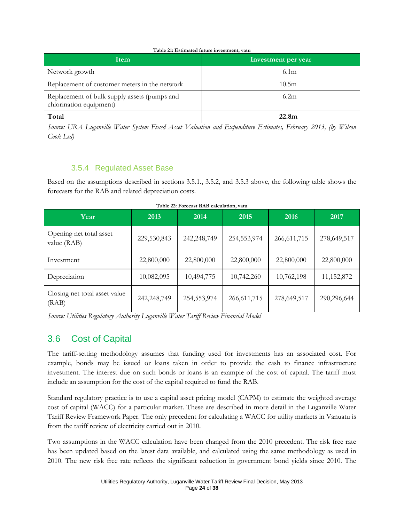#### **Table 21: Estimated future investment, vatu**

| <b>Item</b>                                                             | Investment per year |
|-------------------------------------------------------------------------|---------------------|
| Network growth                                                          | 6.1 <sub>m</sub>    |
| Replacement of customer meters in the network                           | 10.5m               |
| Replacement of bulk supply assets (pumps and<br>chlorination equipment) | 6.2m                |
| Total                                                                   | 22.8 <sub>m</sub>   |

*Source: URA Luganville Water System Fixed Asset Valuation and Expenditure Estimates, February 2013, (by Wilson Cook Ltd)*

### 3.5.4 Regulated Asset Base

Based on the assumptions described in sections 3.5.1., 3.5.2, and 3.5.3 above, the following table shows the forecasts for the RAB and related depreciation costs.

| Year                                   | 2013        | 2014        | 2015          | 2016          | 2017         |
|----------------------------------------|-------------|-------------|---------------|---------------|--------------|
| Opening net total asset<br>value (RAB) | 229,530,843 | 242,248,749 | 254,553,974   | 266, 611, 715 | 278,649,517  |
| Investment                             | 22,800,000  | 22,800,000  | 22,800,000    | 22,800,000    | 22,800,000   |
| Depreciation                           | 10,082,095  | 10,494,775  | 10,742,260    | 10,762,198    | 11, 152, 872 |
| Closing net total asset value<br>(RAB) | 242,248,749 | 254,553,974 | 266, 611, 715 | 278,649,517   | 290,296,644  |

*Source: Utilities Regulatory Authority Luganville Water Tariff Review Financial Model*

## 3.6 Cost of Capital

The tariff-setting methodology assumes that funding used for investments has an associated cost. For example, bonds may be issued or loans taken in order to provide the cash to finance infrastructure investment. The interest due on such bonds or loans is an example of the cost of capital. The tariff must include an assumption for the cost of the capital required to fund the RAB.

Standard regulatory practice is to use a capital asset pricing model (CAPM) to estimate the weighted average cost of capital (WACC) for a particular market. These are described in more detail in the Luganville Water Tariff Review Framework Paper. The only precedent for calculating a WACC for utility markets in Vanuatu is from the tariff review of electricity carried out in 2010.

Two assumptions in the WACC calculation have been changed from the 2010 precedent. The risk free rate has been updated based on the latest data available, and calculated using the same methodology as used in 2010. The new risk free rate reflects the significant reduction in government bond yields since 2010. The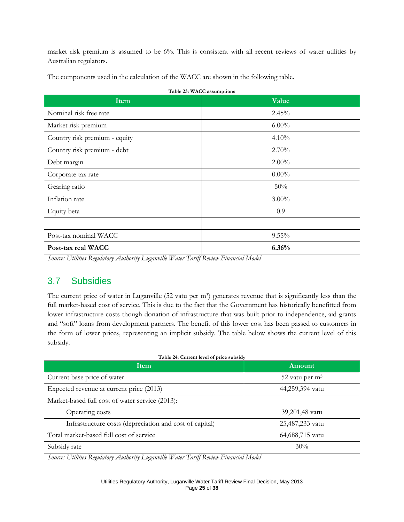market risk premium is assumed to be 6%. This is consistent with all recent reviews of water utilities by Australian regulators.

The components used in the calculation of the WACC are shown in the following table.

| Item                          | Value    |
|-------------------------------|----------|
| Nominal risk free rate        | 2.45%    |
| Market risk premium           | $6.00\%$ |
| Country risk premium - equity | $4.10\%$ |
| Country risk premium - debt   | 2.70%    |
| Debt margin                   | $2.00\%$ |
| Corporate tax rate            | $0.00\%$ |
| Gearing ratio                 | 50%      |
| Inflation rate                | $3.00\%$ |
| Equity beta                   | 0.9      |
|                               |          |
| Post-tax nominal WACC         | $9.55\%$ |
| Post-tax real WACC            | 6.36%    |

*Source: Utilities Regulatory Authority Luganville Water Tariff Review Financial Model*

## 3.7 Subsidies

The current price of water in Luganville (52 vatu per m<sup>3</sup>) generates revenue that is significantly less than the full market-based cost of service. This is due to the fact that the Government has historically benefitted from lower infrastructure costs though donation of infrastructure that was built prior to independence, aid grants and "soft" loans from development partners. The benefit of this lower cost has been passed to customers in the form of lower prices, representing an implicit subsidy. The table below shows the current level of this subsidy.

| Table 24: Current level of price subsidy                |                  |  |  |
|---------------------------------------------------------|------------------|--|--|
| Item                                                    | Amount           |  |  |
| Current base price of water                             | 52 vatu per $m3$ |  |  |
| Expected revenue at current price (2013)                | 44,259,394 vatu  |  |  |
| Market-based full cost of water service (2013):         |                  |  |  |
| Operating costs                                         | 39,201,48 vatu   |  |  |
| Infrastructure costs (depreciation and cost of capital) | 25,487,233 vatu  |  |  |
| Total market-based full cost of service                 | 64,688,715 vatu  |  |  |
| Subsidy rate                                            | 30%              |  |  |

*Source: Utilities Regulatory Authority Luganville Water Tariff Review Financial Model*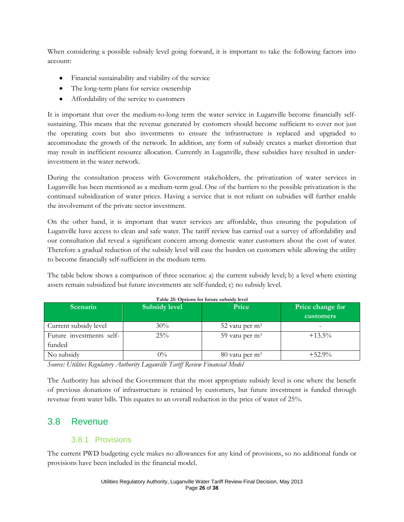When considering a possible subsidy level going forward, it is important to take the following factors into account:

- $\bullet$ Financial sustainability and viability of the service
- The long-term plans for service ownership  $\bullet$
- Affordability of the service to customers  $\bullet$

It is important that over the medium-to-long term the water service in Luganville become financially selfsustaining. This means that the revenue generated by customers should become sufficient to cover not just the operating costs but also investments to ensure the infrastructure is replaced and upgraded to accommodate the growth of the network. In addition, any form of subsidy creates a market distortion that may result in inefficient resource allocation. Currently in Luganville, these subsidies have resulted in underinvestment in the water network.

During the consultation process with Government stakeholders, the privatization of water services in Luganville has been mentioned as a medium-term goal. One of the barriers to the possible privatization is the continued subsidization of water prices. Having a service that is not reliant on subsidies will further enable the involvement of the private sector investment.

On the other hand, it is important that water services are affordable, thus ensuring the population of Luganville have access to clean and safe water. The tariff review has carried out a survey of affordability and our consultation did reveal a significant concern among domestic water customers about the cost of water. Therefore a gradual reduction of the subsidy level will ease the burden on customers while allowing the utility to become financially self-sufficient in the medium term.

The table below shows a comparison of three scenarios: a) the current subsidy level; b) a level where existing assets remain subsidized but future investments are self-funded; c) no subsidy level.

| Scenario                 | <b>Subsidy level</b> | Price                        | Price change for<br>customers |
|--------------------------|----------------------|------------------------------|-------------------------------|
| Current subsidy level    | 30%                  | 52 vatu per $m3$             | $\overline{\phantom{0}}$      |
| Future investments self- | 25%                  | 59 vatu per m <sup>3</sup>   | $+13.5\%$                     |
| funded                   |                      |                              |                               |
| No subsidy               | $0\%$                | $80$ vatu per m <sup>3</sup> | $+52.9%$                      |

#### **Table 25: Options for future subsidy level**

*Source: Utilities Regulatory Authority Luganville Tariff Review Financial Model*

The Authority has advised the Government that the most appropriate subsidy level is one where the benefit of previous donations of infrastructure is retained by customers, but future investment is funded through revenue from water bills. This equates to an overall reduction in the price of water of 25%.

## 3.8 Revenue

#### 3.8.1 Provisions

The current PWD budgeting cycle makes no allowances for any kind of provisions, so no additional funds or provisions have been included in the financial model.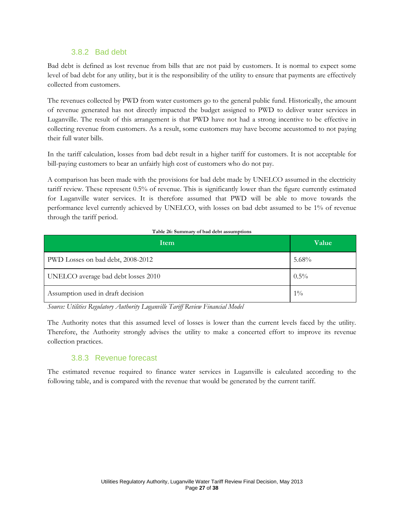### 3.8.2 Bad debt

Bad debt is defined as lost revenue from bills that are not paid by customers. It is normal to expect some level of bad debt for any utility, but it is the responsibility of the utility to ensure that payments are effectively collected from customers.

The revenues collected by PWD from water customers go to the general public fund. Historically, the amount of revenue generated has not directly impacted the budget assigned to PWD to deliver water services in Luganville. The result of this arrangement is that PWD have not had a strong incentive to be effective in collecting revenue from customers. As a result, some customers may have become accustomed to not paying their full water bills.

In the tariff calculation, losses from bad debt result in a higher tariff for customers. It is not acceptable for bill-paying customers to bear an unfairly high cost of customers who do not pay.

A comparison has been made with the provisions for bad debt made by UNELCO assumed in the electricity tariff review. These represent 0.5% of revenue. This is significantly lower than the figure currently estimated for Luganville water services. It is therefore assumed that PWD will be able to move towards the performance level currently achieved by UNELCO, with losses on bad debt assumed to be 1% of revenue through the tariff period.

| Item                                | Value   |
|-------------------------------------|---------|
| PWD Losses on bad debt, 2008-2012   | 5.68%   |
| UNELCO average bad debt losses 2010 | $0.5\%$ |
| Assumption used in draft decision   | $1\%$   |

*Source: Utilities Regulatory Authority Luganville Tariff Review Financial Model*

The Authority notes that this assumed level of losses is lower than the current levels faced by the utility. Therefore, the Authority strongly advises the utility to make a concerted effort to improve its revenue collection practices.

#### 3.8.3 Revenue forecast

The estimated revenue required to finance water services in Luganville is calculated according to the following table, and is compared with the revenue that would be generated by the current tariff.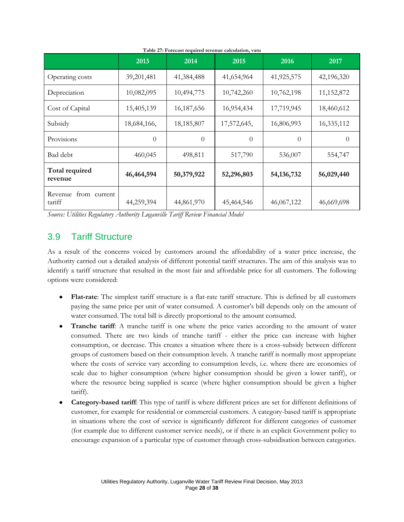|                                   | 2013        | 2014       | 2015        | 2016         | 2017       |
|-----------------------------------|-------------|------------|-------------|--------------|------------|
| Operating costs                   | 39,201,481  | 41,384,488 | 41,654,964  | 41,925,575   | 42,196,320 |
| Depreciation                      | 10,082,095  | 10,494,775 | 10,742,260  | 10,762,198   | 11,152,872 |
| Cost of Capital                   | 15,405,139  | 16,187,656 | 16,954,434  | 17,719,945   | 18,460,612 |
| Subsidy                           | 18,684,166, | 18,185,807 | 17,572,645, | 16,806,993   | 16,335,112 |
| Provisions                        | $\Omega$    | $\Omega$   | $\theta$    | $\theta$     | $\theta$   |
| Bad debt                          | 460,045     | 498,811    | 517,790     | 536,007      | 554,747    |
| Total required<br>revenue         | 46,464,594  | 50,379,922 | 52,296,803  | 54, 136, 732 | 56,029,440 |
| from current<br>Revenue<br>tariff | 44,259,394  | 44,861,970 | 45,464,546  | 46,067,122   | 46,669,698 |

**Table 27: Forecast required revenue calculation, vatu**

*Source: Utilities Regulatory Authority Luganville Tariff Review Financial Model*

## 3.9 Tariff Structure

As a result of the concerns voiced by customers around the affordability of a water price increase, the Authority carried out a detailed analysis of different potential tariff structures. The aim of this analysis was to identify a tariff structure that resulted in the most fair and affordable price for all customers. The following options were considered:

- **Flat-rate**: The simplest tariff structure is a flat-rate tariff structure. This is defined by all customers paying the same price per unit of water consumed. A customer's bill depends only on the amount of water consumed. The total bill is directly proportional to the amount consumed.
- **Tranche tariff**: A tranche tariff is one where the price varies according to the amount of water consumed. There are two kinds of tranche tariff - either the price can increase with higher consumption, or decrease. This creates a situation where there is a cross-subsidy between different groups of customers based on their consumption levels. A tranche tariff is normally most appropriate where the costs of service vary according to consumption levels, i.e. where there are economies of scale due to higher consumption (where higher consumption should be given a lower tariff), or where the resource being supplied is scarce (where higher consumption should be given a higher tariff).
- **Category-based tariff**: This type of tariff is where different prices are set for different definitions of customer, for example for residential or commercial customers. A category-based tariff is appropriate in situations where the cost of service is significantly different for different categories of customer (for example due to different customer service needs), or if there is an explicit Government policy to encourage expansion of a particular type of customer through cross-subsidisation between categories.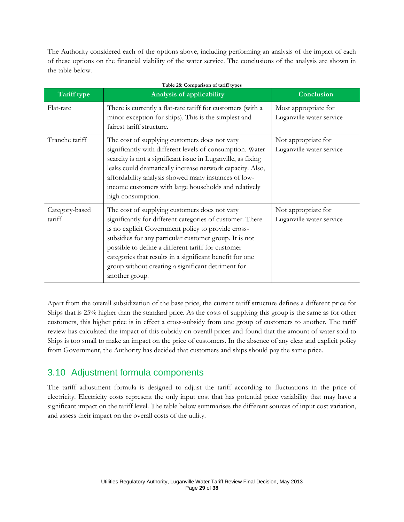The Authority considered each of the options above, including performing an analysis of the impact of each of these options on the financial viability of the water service. The conclusions of the analysis are shown in the table below.

| Tariff type              | <b>Analysis of applicability</b>                                                                                                                                                                                                                                                                                                                                                                                     | Conclusion                                       |
|--------------------------|----------------------------------------------------------------------------------------------------------------------------------------------------------------------------------------------------------------------------------------------------------------------------------------------------------------------------------------------------------------------------------------------------------------------|--------------------------------------------------|
| Flat-rate                | There is currently a flat-rate tariff for customers (with a<br>minor exception for ships). This is the simplest and<br>fairest tariff structure.                                                                                                                                                                                                                                                                     | Most appropriate for<br>Luganville water service |
| Tranche tariff           | The cost of supplying customers does not vary<br>significantly with different levels of consumption. Water<br>scarcity is not a significant issue in Luganville, as fixing<br>leaks could dramatically increase network capacity. Also,<br>affordability analysis showed many instances of low-<br>income customers with large households and relatively<br>high consumption.                                        | Not appropriate for<br>Luganville water service  |
| Category-based<br>tariff | The cost of supplying customers does not vary<br>significantly for different categories of customer. There<br>is no explicit Government policy to provide cross-<br>subsidies for any particular customer group. It is not<br>possible to define a different tariff for customer<br>categories that results in a significant benefit for one<br>group without creating a significant detriment for<br>another group. | Not appropriate for<br>Luganville water service  |

Apart from the overall subsidization of the base price, the current tariff structure defines a different price for Ships that is 25% higher than the standard price. As the costs of supplying this group is the same as for other customers, this higher price is in effect a cross-subsidy from one group of customers to another. The tariff review has calculated the impact of this subsidy on overall prices and found that the amount of water sold to Ships is too small to make an impact on the price of customers. In the absence of any clear and explicit policy from Government, the Authority has decided that customers and ships should pay the same price.

## 3.10 Adjustment formula components

The tariff adjustment formula is designed to adjust the tariff according to fluctuations in the price of electricity. Electricity costs represent the only input cost that has potential price variability that may have a significant impact on the tariff level. The table below summarises the different sources of input cost variation, and assess their impact on the overall costs of the utility.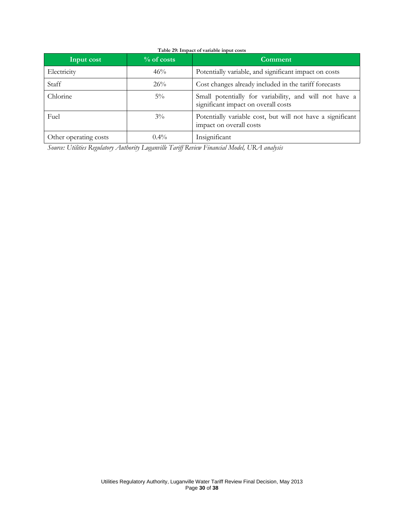| Input cost            | $\%$ of costs | Comment                                                                                       |
|-----------------------|---------------|-----------------------------------------------------------------------------------------------|
| Electricity           | 46%           | Potentially variable, and significant impact on costs                                         |
| Staff                 | 26%           | Cost changes already included in the tariff forecasts                                         |
| Chlorine              | $5\%$         | Small potentially for variability, and will not have a<br>significant impact on overall costs |
| Fuel                  | $3\%$         | Potentially variable cost, but will not have a significant<br>impact on overall costs         |
| Other operating costs | $0.4\%$       | Insignificant                                                                                 |

*Source: Utilities Regulatory Authority Luganville Tariff Review Financial Model, URA analysis*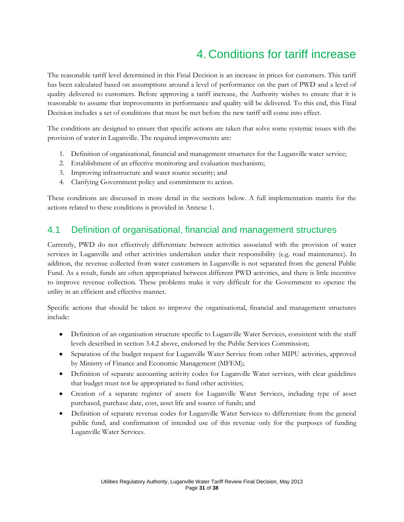# 4. Conditions for tariff increase

The reasonable tariff level determined in this Final Decision is an increase in prices for customers. This tariff has been calculated based on assumptions around a level of performance on the part of PWD and a level of quality delivered to customers. Before approving a tariff increase, the Authority wishes to ensure that it is reasonable to assume that improvements in performance and quality will be delivered. To this end, this Final Decision includes a set of conditions that must be met before the new tariff will come into effect.

The conditions are designed to ensure that specific actions are taken that solve some systemic issues with the provision of water in Luganville. The required improvements are:

- 1. Definition of organisational, financial and management structures for the Luganville water service;
- 2. Establishment of an effective monitoring and evaluation mechanism;
- 3. Improving infrastructure and water source security; and
- 4. Clarifying Government policy and commitment to action.

These conditions are discussed in more detail in the sections below. A full implementation matrix for the actions related to these conditions is provided in Annexe 1.

## 4.1 Definition of organisational, financial and management structures

Currently, PWD do not effectively differentiate between activities associated with the provision of water services in Luganville and other activities undertaken under their responsibility (e.g. road maintenance). In addition, the revenue collected from water customers in Luganville is not separated from the general Public Fund. As a result, funds are often appropriated between different PWD activities, and there is little incentive to improve revenue collection. These problems make it very difficult for the Government to operate the utility in an efficient and effective manner.

Specific actions that should be taken to improve the organisational, financial and management structures include:

- Definition of an organisation structure specific to Luganville Water Services, consistent with the staff levels described in section 3.4.2 above, endorsed by the Public Services Commission;
- Separation of the budget request for Luganville Water Service from other MIPU activities, approved by Ministry of Finance and Economic Management (MFEM);
- Definition of separate accounting activity codes for Luganville Water services, with clear guidelines that budget must not be appropriated to fund other activities;
- Creation of a separate register of assets for Luganville Water Services, including type of asset purchased, purchase date, cost, asset life and source of funds; and
- Definition of separate revenue codes for Luganville Water Services to differentiate from the general public fund, and confirmation of intended use of this revenue only for the purposes of funding Luganville Water Services.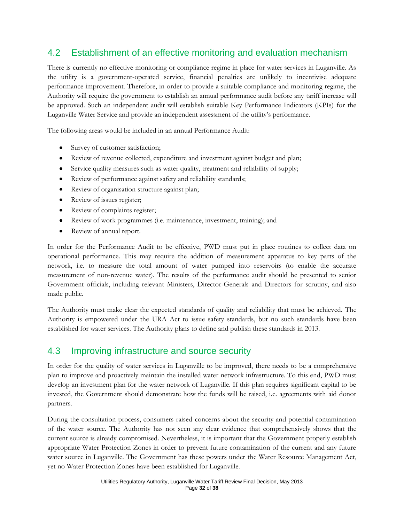## 4.2 Establishment of an effective monitoring and evaluation mechanism

There is currently no effective monitoring or compliance regime in place for water services in Luganville. As the utility is a government-operated service, financial penalties are unlikely to incentivise adequate performance improvement. Therefore, in order to provide a suitable compliance and monitoring regime, the Authority will require the government to establish an annual performance audit before any tariff increase will be approved. Such an independent audit will establish suitable Key Performance Indicators (KPIs) for the Luganville Water Service and provide an independent assessment of the utility's performance.

The following areas would be included in an annual Performance Audit:

- $\bullet$ Survey of customer satisfaction;
- $\bullet$ Review of revenue collected, expenditure and investment against budget and plan;
- Service quality measures such as water quality, treatment and reliability of supply;  $\bullet$
- Review of performance against safety and reliability standards;  $\bullet$
- Review of organisation structure against plan;  $\bullet$
- Review of issues register;  $\bullet$
- $\bullet$ Review of complaints register;
- $\bullet$ Review of work programmes (i.e. maintenance, investment, training); and
- $\bullet$ Review of annual report.

In order for the Performance Audit to be effective, PWD must put in place routines to collect data on operational performance. This may require the addition of measurement apparatus to key parts of the network, i.e. to measure the total amount of water pumped into reservoirs (to enable the accurate measurement of non-revenue water). The results of the performance audit should be presented to senior Government officials, including relevant Ministers, Director-Generals and Directors for scrutiny, and also made public.

The Authority must make clear the expected standards of quality and reliability that must be achieved. The Authority is empowered under the URA Act to issue safety standards, but no such standards have been established for water services. The Authority plans to define and publish these standards in 2013.

### 4.3 Improving infrastructure and source security

In order for the quality of water services in Luganville to be improved, there needs to be a comprehensive plan to improve and proactively maintain the installed water network infrastructure. To this end, PWD must develop an investment plan for the water network of Luganville. If this plan requires significant capital to be invested, the Government should demonstrate how the funds will be raised, i.e. agreements with aid donor partners.

During the consultation process, consumers raised concerns about the security and potential contamination of the water source. The Authority has not seen any clear evidence that comprehensively shows that the current source is already compromised. Nevertheless, it is important that the Government properly establish appropriate Water Protection Zones in order to prevent future contamination of the current and any future water source in Luganville. The Government has these powers under the Water Resource Management Act, yet no Water Protection Zones have been established for Luganville.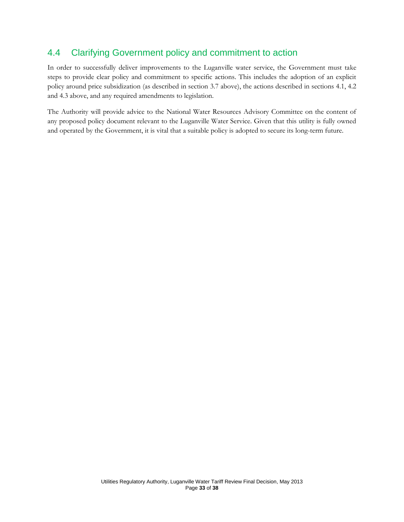## 4.4 Clarifying Government policy and commitment to action

In order to successfully deliver improvements to the Luganville water service, the Government must take steps to provide clear policy and commitment to specific actions. This includes the adoption of an explicit policy around price subsidization (as described in section 3.7 above), the actions described in sections 4.1, 4.2 and 4.3 above, and any required amendments to legislation.

The Authority will provide advice to the National Water Resources Advisory Committee on the content of any proposed policy document relevant to the Luganville Water Service. Given that this utility is fully owned and operated by the Government, it is vital that a suitable policy is adopted to secure its long-term future.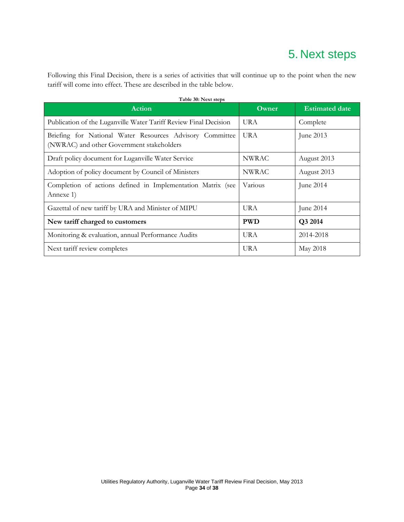# 5. Next steps

Following this Final Decision, there is a series of activities that will continue up to the point when the new tariff will come into effect. These are described in the table below.

| Action                                                                                                | Owner        | <b>Estimated date</b> |
|-------------------------------------------------------------------------------------------------------|--------------|-----------------------|
| Publication of the Luganville Water Tariff Review Final Decision                                      | <b>URA</b>   | Complete              |
| Briefing for National Water Resources Advisory Committee<br>(NWRAC) and other Government stakeholders | <b>URA</b>   | June 2013             |
| Draft policy document for Luganville Water Service                                                    | <b>NWRAC</b> | August 2013           |
| Adoption of policy document by Council of Ministers                                                   | <b>NWRAC</b> | August 2013           |
| Completion of actions defined in Implementation Matrix (see<br>Annexe 1)                              | Various      | June 2014             |
| Gazettal of new tariff by URA and Minister of MIPU                                                    | <b>URA</b>   | June 2014             |
| New tariff charged to customers                                                                       | <b>PWD</b>   | Q3 2014               |
| Monitoring & evaluation, annual Performance Audits                                                    | UR A         | 2014-2018             |
| Next tariff review completes                                                                          | <b>URA</b>   | May 2018              |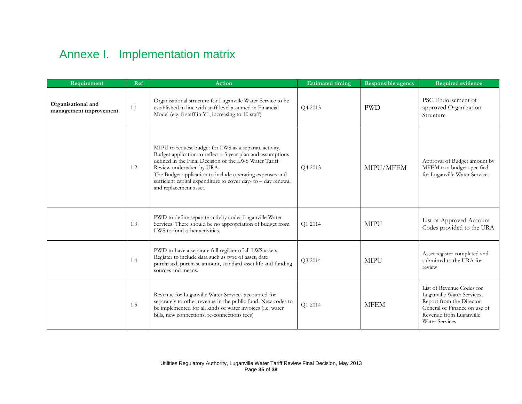# Annexe I. Implementation matrix

| Requirement                                  | Ref | <b>Action</b>                                                                                                                                                                                                                                                                                                                                                     | <b>Estimated timing</b> | Responsible agency | <b>Required evidence</b>                                                                                                                                                |
|----------------------------------------------|-----|-------------------------------------------------------------------------------------------------------------------------------------------------------------------------------------------------------------------------------------------------------------------------------------------------------------------------------------------------------------------|-------------------------|--------------------|-------------------------------------------------------------------------------------------------------------------------------------------------------------------------|
| Organisational and<br>management improvement | 1.1 | Organisational structure for Luganville Water Service to be<br>established in line with staff level assumed in Financial<br>Model (e.g. 8 staff in Y1, increasing to 10 staff)                                                                                                                                                                                    | Q4 2013                 | <b>PWD</b>         | PSC Endorsement of<br>approved Organization<br>Structure                                                                                                                |
|                                              | 1.2 | MIPU to request budget for LWS as a separate activity.<br>Budget application to reflect a 5 year plan and assumptions<br>defined in the Final Decision of the LWS Water Tariff<br>Review undertaken by URA.<br>The Budget application to include operating expenses and<br>sufficient capital expenditure to cover day-to - day renewal<br>and replacement asset. | Q4 2013                 | MIPU/MFEM          | Approval of Budget amount by<br>MFEM to a budget specified<br>for Luganville Water Services                                                                             |
|                                              | 1.3 | PWD to define separate activity codes Luganville Water<br>Services. There should be no appropriation of budget from<br>LWS to fund other activities.                                                                                                                                                                                                              | Q1 2014                 | <b>MIPU</b>        | List of Approved Account<br>Codes provided to the URA                                                                                                                   |
|                                              | 1.4 | PWD to have a separate full register of all LWS assets.<br>Register to include data such as type of asset, date<br>purchased, purchase amount, standard asset life and funding<br>sources and means.                                                                                                                                                              | O3 2014                 | <b>MIPU</b>        | Asset register completed and<br>submitted to the URA for<br>review                                                                                                      |
|                                              | 1.5 | Revenue for Luganville Water Services accounted for<br>separately to other revenue in the public fund. New codes to<br>be implemented for all kinds of water invoices (i.e. water<br>bills, new connections, re-connections fees)                                                                                                                                 | Q1 2014                 | <b>MFEM</b>        | List of Revenue Codes for<br>Luganville Water Services,<br>Report from the Director<br>General of Finance on use of<br>Revenue from Luganville<br><b>Water Services</b> |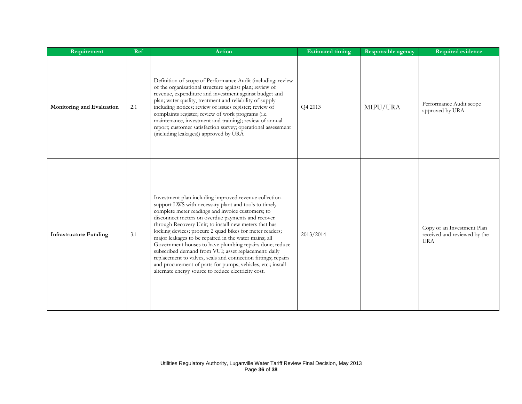| Requirement                   | Ref | <b>Action</b>                                                                                                                                                                                                                                                                                                                                                                                                                                                                                                                                                                                                                                                                                                    | <b>Estimated timing</b> | Responsible agency | <b>Required evidence</b>                                                 |
|-------------------------------|-----|------------------------------------------------------------------------------------------------------------------------------------------------------------------------------------------------------------------------------------------------------------------------------------------------------------------------------------------------------------------------------------------------------------------------------------------------------------------------------------------------------------------------------------------------------------------------------------------------------------------------------------------------------------------------------------------------------------------|-------------------------|--------------------|--------------------------------------------------------------------------|
| Monitoring and Evaluation     | 2.1 | Definition of scope of Performance Audit (including: review<br>of the organizational structure against plan; review of<br>revenue, expenditure and investment against budget and<br>plan; water quality, treatment and reliability of supply<br>including notices; review of issues register; review of<br>complaints register; review of work programs (i.e.<br>maintenance, investment and training); review of annual<br>report; customer satisfaction survey; operational assessment<br>(including leakages)) approved by URA                                                                                                                                                                                | Q4 2013                 | MIPU/URA           | Performance Audit scope<br>approved by URA                               |
| <b>Infrastructure Funding</b> | 3.1 | Investment plan including improved revenue collection-<br>support LWS with necessary plant and tools to timely<br>complete meter readings and invoice customers; to<br>disconnect meters on overdue payments and recover<br>through Recovery Unit; to install new meters that has<br>locking devices; procure 2 quad bikes for meter readers;<br>major leakages to be repaired in the water mains; all<br>Government houses to have plumbing repairs done; reduce<br>subscribed demand from VUI; asset replacement: daily<br>replacement to valves, seals and connection fittings; repairs<br>and procurement of parts for pumps, vehicles, etc.; install<br>alternate energy source to reduce electricity cost. | 2013/2014               |                    | Copy of an Investment Plan<br>received and reviewed by the<br><b>URA</b> |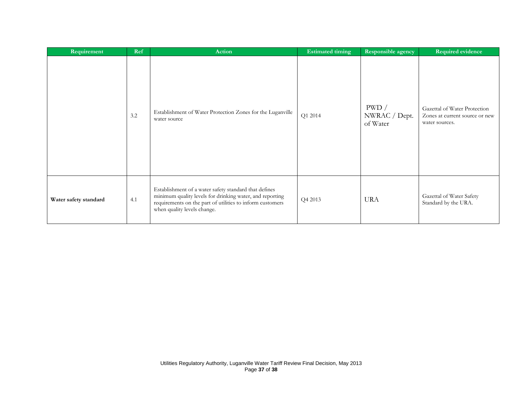| Requirement           | Ref | Action                                                                                                                                                                                                        | <b>Estimated timing</b> | Responsible agency                 | Required evidence                                                                |
|-----------------------|-----|---------------------------------------------------------------------------------------------------------------------------------------------------------------------------------------------------------------|-------------------------|------------------------------------|----------------------------------------------------------------------------------|
|                       | 3.2 | Establishment of Water Protection Zones for the Luganville<br>water source                                                                                                                                    | Q1 2014                 | PWD /<br>NWRAC / Dept.<br>of Water | Gazettal of Water Protection<br>Zones at current source or new<br>water sources. |
| Water safety standard | 4.1 | Establishment of a water safety standard that defines<br>minimum quality levels for drinking water, and reporting<br>requirements on the part of utilities to inform customers<br>when quality levels change. | Q4 2013                 | <b>URA</b>                         | Gazettal of Water Safety<br>Standard by the URA.                                 |